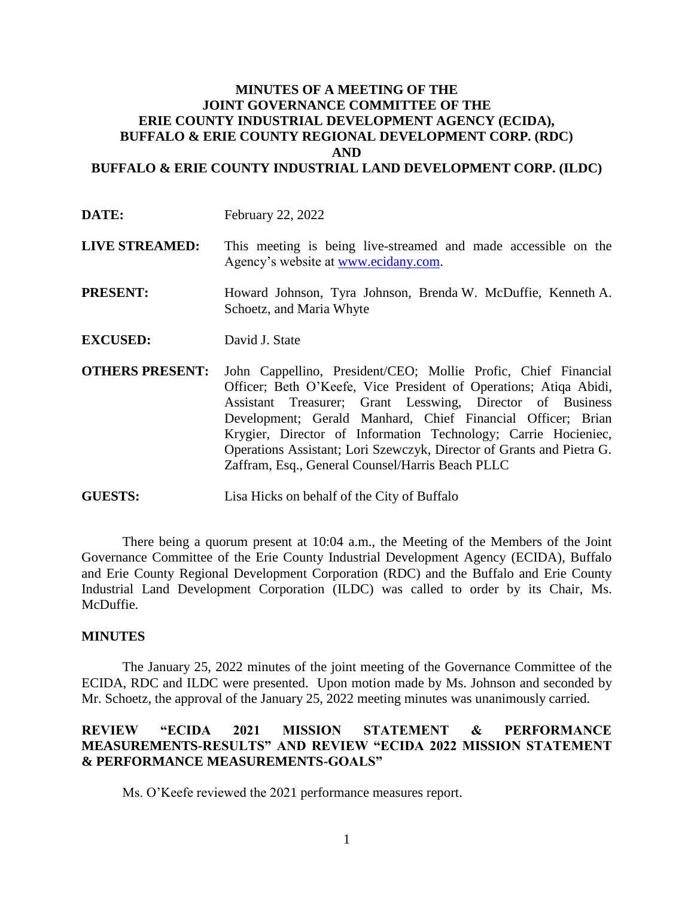## **MINUTES OF A MEETING OF THE JOINT GOVERNANCE COMMITTEE OF THE ERIE COUNTY INDUSTRIAL DEVELOPMENT AGENCY (ECIDA), BUFFALO & ERIE COUNTY REGIONAL DEVELOPMENT CORP. (RDC) AND BUFFALO & ERIE COUNTY INDUSTRIAL LAND DEVELOPMENT CORP. (ILDC)**

- **DATE:** February 22, 2022
- **LIVE STREAMED:** This meeting is being live-streamed and made accessible on the Agency's website at [www.ecidany.com.](http://www.ecidany.com/)
- **PRESENT:** Howard Johnson, Tyra Johnson, Brenda W. McDuffie, Kenneth A. Schoetz, and Maria Whyte
- **EXCUSED:** David J. State
- **OTHERS PRESENT:** John Cappellino, President/CEO; Mollie Profic, Chief Financial Officer; Beth O'Keefe, Vice President of Operations; Atiqa Abidi, Assistant Treasurer; Grant Lesswing, Director of Business Development; Gerald Manhard, Chief Financial Officer; Brian Krygier, Director of Information Technology; Carrie Hocieniec, Operations Assistant; Lori Szewczyk, Director of Grants and Pietra G. Zaffram, Esq., General Counsel/Harris Beach PLLC
- **GUESTS:** Lisa Hicks on behalf of the City of Buffalo

There being a quorum present at 10:04 a.m., the Meeting of the Members of the Joint Governance Committee of the Erie County Industrial Development Agency (ECIDA), Buffalo and Erie County Regional Development Corporation (RDC) and the Buffalo and Erie County Industrial Land Development Corporation (ILDC) was called to order by its Chair, Ms. McDuffie.

## **MINUTES**

The January 25, 2022 minutes of the joint meeting of the Governance Committee of the ECIDA, RDC and ILDC were presented. Upon motion made by Ms. Johnson and seconded by Mr. Schoetz, the approval of the January 25, 2022 meeting minutes was unanimously carried.

## **REVIEW "ECIDA 2021 MISSION STATEMENT & PERFORMANCE MEASUREMENTS-RESULTS" AND REVIEW "ECIDA 2022 MISSION STATEMENT & PERFORMANCE MEASUREMENTS-GOALS"**

Ms. O'Keefe reviewed the 2021 performance measures report.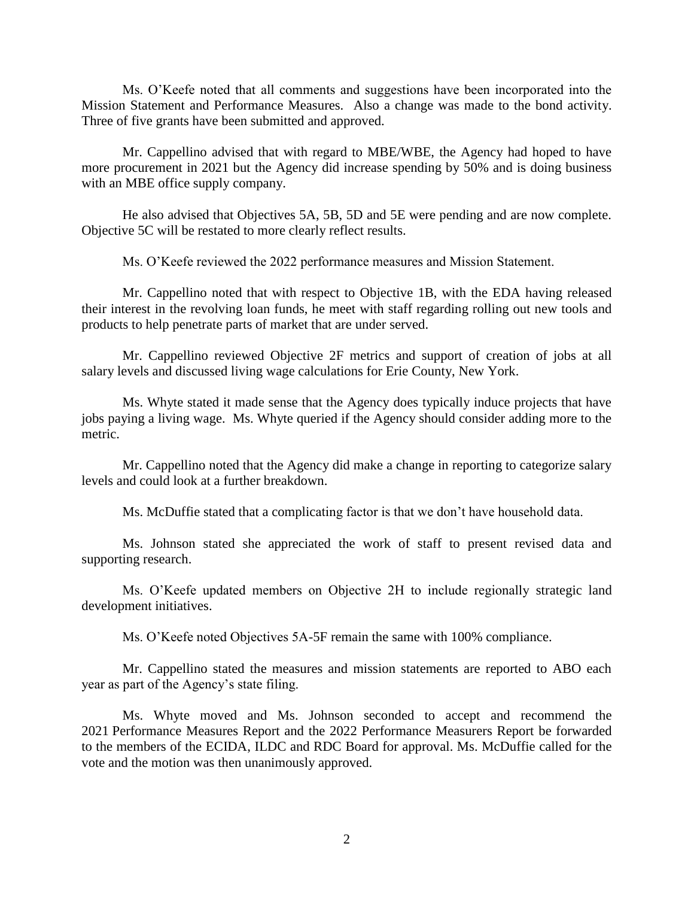Ms. O'Keefe noted that all comments and suggestions have been incorporated into the Mission Statement and Performance Measures. Also a change was made to the bond activity. Three of five grants have been submitted and approved.

Mr. Cappellino advised that with regard to MBE/WBE, the Agency had hoped to have more procurement in 2021 but the Agency did increase spending by 50% and is doing business with an MBE office supply company.

He also advised that Objectives 5A, 5B, 5D and 5E were pending and are now complete. Objective 5C will be restated to more clearly reflect results.

Ms. O'Keefe reviewed the 2022 performance measures and Mission Statement.

Mr. Cappellino noted that with respect to Objective 1B, with the EDA having released their interest in the revolving loan funds, he meet with staff regarding rolling out new tools and products to help penetrate parts of market that are under served.

Mr. Cappellino reviewed Objective 2F metrics and support of creation of jobs at all salary levels and discussed living wage calculations for Erie County, New York.

Ms. Whyte stated it made sense that the Agency does typically induce projects that have jobs paying a living wage. Ms. Whyte queried if the Agency should consider adding more to the metric.

Mr. Cappellino noted that the Agency did make a change in reporting to categorize salary levels and could look at a further breakdown.

Ms. McDuffie stated that a complicating factor is that we don't have household data.

Ms. Johnson stated she appreciated the work of staff to present revised data and supporting research.

Ms. O'Keefe updated members on Objective 2H to include regionally strategic land development initiatives.

Ms. O'Keefe noted Objectives 5A-5F remain the same with 100% compliance.

Mr. Cappellino stated the measures and mission statements are reported to ABO each year as part of the Agency's state filing.

Ms. Whyte moved and Ms. Johnson seconded to accept and recommend the 2021 Performance Measures Report and the 2022 Performance Measurers Report be forwarded to the members of the ECIDA, ILDC and RDC Board for approval. Ms. McDuffie called for the vote and the motion was then unanimously approved.